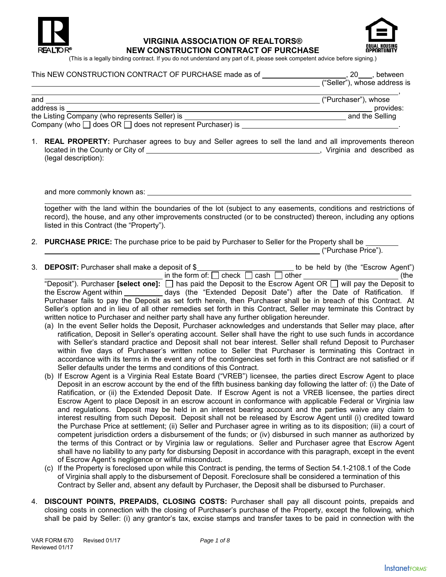

#### **VIRGINIA ASSOCIATION OF REALTORS® NEW CONSTRUCTION CONTRACT OF PURCHASE**



(This is a legally binding contract. If you do not understand any part of it, please seek competent advice before signing.)

# This NEW CONSTRUCTION CONTRACT OF PURCHASE made as of  $\_\_\_\_\_\_\_\_\_\_$ , 20  $\_\_\_\_\_\_\_\_\_\_\_\_\_\_$  between

|                                                                     | ("Seller"), whose address is |  |  |
|---------------------------------------------------------------------|------------------------------|--|--|
|                                                                     |                              |  |  |
| and                                                                 | ("Purchaser"), whose         |  |  |
| address is                                                          | provides:                    |  |  |
| the Listing Company (who represents Seller) is                      | and the Selling              |  |  |
| Company (who $\Box$ does OR $\Box$ does not represent Purchaser) is |                              |  |  |

1. **REAL PROPERTY:** Purchaser agrees to buy and Seller agrees to sell the land and all improvements thereon located in the County or City of , Virginia and described as (legal description):

and more commonly known as:

together with the land within the boundaries of the lot (subject to any easements, conditions and restrictions of record), the house, and any other improvements constructed (or to be constructed) thereon, including any options listed in this Contract (the "Property").

2. **PURCHASE PRICE:** The purchase price to be paid by Purchaser to Seller for the Property shall be **EXECUTE:** ("Purchase Price").

3. **DEPOSIT:** Purchaser shall make a deposit of \$\_\_\_\_\_\_\_\_\_\_\_\_\_\_\_\_\_\_\_\_\_\_\_\_\_\_\_ to be held by (the "Escrow Agent")  $\frac{1}{\sqrt{1-\frac{1}{2}}}\sinh\theta$  the form of:  $\Box$  check  $\Box$  cash  $\Box$  other  $\Box$  (the

"Deposit"). Purchaser **[select one]:**  $\Box$  has paid the Deposit to the Escrow Agent OR  $\Box$  will pay the Deposit to the Escrow Agent within \_\_\_\_\_\_\_\_\_ days (the "Extended Deposit Date") after the Date of Ratification. If Purchaser fails to pay the Deposit as set forth herein, then Purchaser shall be in breach of this Contract. At Seller's option and in lieu of all other remedies set forth in this Contract, Seller may terminate this Contract by written notice to Purchaser and neither party shall have any further obligation hereunder.

- (a) In the event Seller holds the Deposit, Purchaser acknowledges and understands that Seller may place, after ratification, Deposit in Seller's operating account. Seller shall have the right to use such funds in accordance with Seller's standard practice and Deposit shall not bear interest. Seller shall refund Deposit to Purchaser within five days of Purchaser's written notice to Seller that Purchaser is terminating this Contract in accordance with its terms in the event any of the contingencies set forth in this Contract are not satisfied or if Seller defaults under the terms and conditions of this Contract.
- (b) If Escrow Agent is a Virginia Real Estate Board ("VREB") licensee, the parties direct Escrow Agent to place Deposit in an escrow account by the end of the fifth business banking day following the latter of: (i) the Date of Ratification, or (ii) the Extended Deposit Date. If Escrow Agent is not a VREB licensee, the parties direct Escrow Agent to place Deposit in an escrow account in conformance with applicable Federal or Virginia law and regulations. Deposit may be held in an interest bearing account and the parties waive any claim to interest resulting from such Deposit. Deposit shall not be released by Escrow Agent until (i) credited toward the Purchase Price at settlement; (ii) Seller and Purchaser agree in writing as to its disposition; (iii) a court of competent jurisdiction orders a disbursement of the funds; or (iv) disbursed in such manner as authorized by the terms of this Contract or by Virginia law or regulations. Seller and Purchaser agree that Escrow Agent shall have no liability to any party for disbursing Deposit in accordance with this paragraph, except in the event of Escrow Agent's negligence or willful misconduct.
- (c) If the Property is foreclosed upon while this Contract is pending, the terms of Section 54.1-2108.1 of the Code of Virginia shall apply to the disbursement of Deposit. Foreclosure shall be considered a termination of this Contract by Seller and, absent any default by Purchaser, the Deposit shall be disbursed to Purchaser.
- 4. **DISCOUNT POINTS, PREPAIDS, CLOSING COSTS:** Purchaser shall pay all discount points, prepaids and closing costs in connection with the closing of Purchaser's purchase of the Property, except the following, which shall be paid by Seller: (i) any grantor's tax, excise stamps and transfer taxes to be paid in connection with the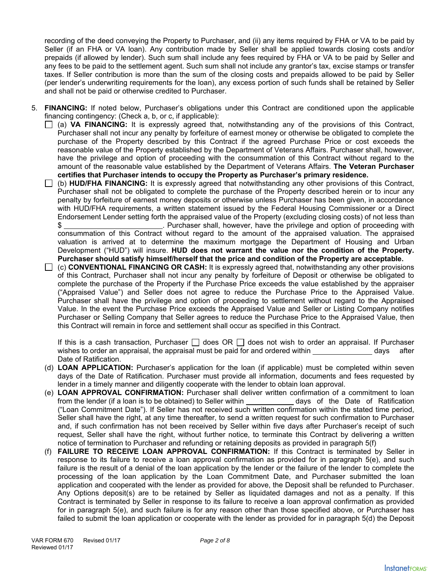recording of the deed conveying the Property to Purchaser, and (ii) any items required by FHA or VA to be paid by Seller (if an FHA or VA loan). Any contribution made by Seller shall be applied towards closing costs and/or prepaids (if allowed by lender). Such sum shall include any fees required by FHA or VA to be paid by Seller and any fees to be paid to the settlement agent. Such sum shall not include any grantor's tax, excise stamps or transfer taxes. If Seller contribution is more than the sum of the closing costs and prepaids allowed to be paid by Seller (per lender's underwriting requirements for the loan), any excess portion of such funds shall be retained by Seller and shall not be paid or otherwise credited to Purchaser.

- 5. **FINANCING:** If noted below, Purchaser's obligations under this Contract are conditioned upon the applicable financing contingency: (Check a, b, or c, if applicable):
	- (a) **VA FINANCING:** It is expressly agreed that, notwithstanding any of the provisions of this Contract, Purchaser shall not incur any penalty by forfeiture of earnest money or otherwise be obligated to complete the purchase of the Property described by this Contract if the agreed Purchase Price or cost exceeds the reasonable value of the Property established by the Department of Veterans Affairs. Purchaser shall, however, have the privilege and option of proceeding with the consummation of this Contract without regard to the amount of the reasonable value established by the Department of Veterans Affairs. **The Veteran Purchaser certifies that Purchaser intends to occupy the Property as Purchaser's primary residence.**
	- (b) **HUD/FHA FINANCING:** It is expressly agreed that notwithstanding any other provisions of this Contract, Purchaser shall not be obligated to complete the purchase of the Property described herein or to incur any penalty by forfeiture of earnest money deposits or otherwise unless Purchaser has been given, in accordance with HUD/FHA requirements, a written statement issued by the Federal Housing Commissioner or a Direct Endorsement Lender setting forth the appraised value of the Property (excluding closing costs) of not less than \$ . Purchaser shall, however, have the privilege and option of proceeding with consummation of this Contract without regard to the amount of the appraised valuation. The appraised valuation is arrived at to determine the maximum mortgage the Department of Housing and Urban Development ("HUD") will insure. **HUD does not warrant the value nor the condition of the Property. Purchaser should satisfy himself/herself that the price and condition of the Property are acceptable.**
	- (c) **CONVENTIONAL FINANCING OR CASH:** It is expressly agreed that, notwithstanding any other provisions of this Contract, Purchaser shall not incur any penalty by forfeiture of Deposit or otherwise be obligated to complete the purchase of the Property if the Purchase Price exceeds the value established by the appraiser ("Appraised Value") and Seller does not agree to reduce the Purchase Price to the Appraised Value. Purchaser shall have the privilege and option of proceeding to settlement without regard to the Appraised Value. In the event the Purchase Price exceeds the Appraised Value and Seller or Listing Company notifies Purchaser or Selling Company that Seller agrees to reduce the Purchase Price to the Appraised Value, then this Contract will remain in force and settlement shall occur as specified in this Contract.

If this is a cash transaction, Purchaser  $\Box$  does OR  $\Box$  does not wish to order an appraisal. If Purchaser wishes to order an appraisal, the appraisal must be paid for and ordered within days after Date of Ratification.

- (d) **LOAN APPLICATION:** Purchaser's application for the loan (if applicable) must be completed within seven days of the Date of Ratification. Purchaser must provide all information, documents and fees requested by lender in a timely manner and diligently cooperate with the lender to obtain loan approval.
- (e) **LOAN APPROVAL CONFIRMATION:** Purchaser shall deliver written confirmation of a commitment to loan from the lender (if a loan is to be obtained) to Seller within days of the Date of Ratification ("Loan Commitment Date"). If Seller has not received such written confirmation within the stated time period, Seller shall have the right, at any time thereafter, to send a written request for such confirmation to Purchaser and, if such confirmation has not been received by Seller within five days after Purchaser's receipt of such request, Seller shall have the right, without further notice, to terminate this Contract by delivering a written notice of termination to Purchaser and refunding or retaining deposits as provided in paragraph 5(f)
- (f) **FAILURE TO RECEIVE LOAN APPROVAL CONFIRMATION:** If this Contract is terminated by Seller in response to its failure to receive a loan approval confirmation as provided for in paragraph 5(e), and such failure is the result of a denial of the loan application by the lender or the failure of the lender to complete the processing of the loan application by the Loan Commitment Date, and Purchaser submitted the loan application and cooperated with the lender as provided for above, the Deposit shall be refunded to Purchaser. Any Options deposit(s) are to be retained by Seller as liquidated damages and not as a penalty. If this Contract is terminated by Seller in response to its failure to receive a loan approval confirmation as provided for in paragraph 5(e), and such failure is for any reason other than those specified above, or Purchaser has failed to submit the loan application or cooperate with the lender as provided for in paragraph 5(d) the Deposit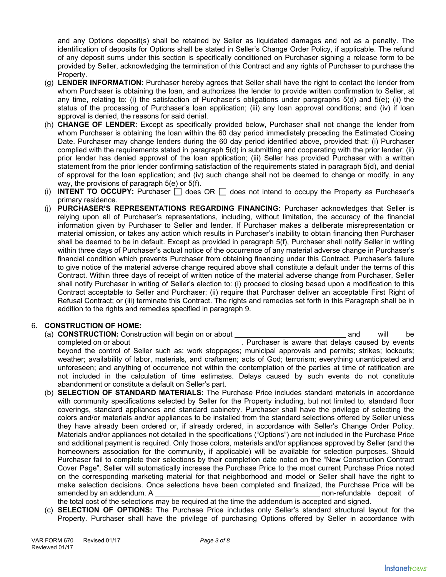and any Options deposit(s) shall be retained by Seller as liquidated damages and not as a penalty. The identification of deposits for Options shall be stated in Seller's Change Order Policy, if applicable. The refund of any deposit sums under this section is specifically conditioned on Purchaser signing a release form to be provided by Seller, acknowledging the termination of this Contract and any rights of Purchaser to purchase the Property.

- (g) **LENDER INFORMATION:** Purchaser hereby agrees that Seller shall have the right to contact the lender from whom Purchaser is obtaining the loan, and authorizes the lender to provide written confirmation to Seller, at any time, relating to: (i) the satisfaction of Purchaser's obligations under paragraphs 5(d) and 5(e); (ii) the status of the processing of Purchaser's loan application; (iii) any loan approval conditions; and (iv) if loan approval is denied, the reasons for said denial.
- (h) **CHANGE OF LENDER:** Except as specifically provided below, Purchaser shall not change the lender from whom Purchaser is obtaining the loan within the 60 day period immediately preceding the Estimated Closing Date. Purchaser may change lenders during the 60 day period identified above, provided that: (i) Purchaser complied with the requirements stated in paragraph 5(d) in submitting and cooperating with the prior lender; (ii) prior lender has denied approval of the loan application; (iii) Seller has provided Purchaser with a written statement from the prior lender confirming satisfaction of the requirements stated in paragraph 5(d), and denial of approval for the loan application; and (iv) such change shall not be deemed to change or modify, in any way, the provisions of paragraph 5(e) or 5(f).
- (i) **INTENT TO OCCUPY:** Purchaser  $\Box$  does OR  $\Box$  does not intend to occupy the Property as Purchaser's primary residence.
- (j) **PURCHASER'S REPRESENTATIONS REGARDING FINANCING:** Purchaser acknowledges that Seller is relying upon all of Purchaser's representations, including, without limitation, the accuracy of the financial information given by Purchaser to Seller and lender. If Purchaser makes a deliberate misrepresentation or material omission, or takes any action which results in Purchaser's inability to obtain financing then Purchaser shall be deemed to be in default. Except as provided in paragraph 5(f), Purchaser shall notify Seller in writing within three days of Purchaser's actual notice of the occurrence of any material adverse change in Purchaser's financial condition which prevents Purchaser from obtaining financing under this Contract. Purchaser's failure to give notice of the material adverse change required above shall constitute a default under the terms of this Contract. Within three days of receipt of written notice of the material adverse change from Purchaser, Seller shall notify Purchaser in writing of Seller's election to: (i) proceed to closing based upon a modification to this Contract acceptable to Seller and Purchaser; (ii) require that Purchaser deliver an acceptable First Right of Refusal Contract; or (iii) terminate this Contract. The rights and remedies set forth in this Paragraph shall be in addition to the rights and remedies specified in paragraph 9.

# 6. **CONSTRUCTION OF HOME:**

- (a) **CONSTRUCTION:** Construction will begin on or about **and** will be completed on or about . Purchaser is aware that delays caused by events beyond the control of Seller such as: work stoppages; municipal approvals and permits; strikes; lockouts; weather; availability of labor, materials, and craftsmen; acts of God; terrorism; everything unanticipated and unforeseen; and anything of occurrence not within the contemplation of the parties at time of ratification are not included in the calculation of time estimates. Delays caused by such events do not constitute abandonment or constitute a default on Seller's part.
- (b) **SELECTION OF STANDARD MATERIALS:** The Purchase Price includes standard materials in accordance with community specifications selected by Seller for the Property including, but not limited to, standard floor coverings, standard appliances and standard cabinetry. Purchaser shall have the privilege of selecting the colors and/or materials and/or appliances to be installed from the standard selections offered by Seller unless they have already been ordered or, if already ordered, in accordance with Seller's Change Order Policy. Materials and/or appliances not detailed in the specifications ("Options") are not included in the Purchase Price and additional payment is required. Only those colors, materials and/or appliances approved by Seller (and the homeowners association for the community, if applicable) will be available for selection purposes. Should Purchaser fail to complete their selections by their completion date noted on the "New Construction Contract Cover Page", Seller will automatically increase the Purchase Price to the most current Purchase Price noted on the corresponding marketing material for that neighborhood and model or Seller shall have the right to make selection decisions. Once selections have been completed and finalized, the Purchase Price will be amended by an addendum. A non-refundable deposit of

the total cost of the selections may be required at the time the addendum is accepted and signed.

(c) **SELECTION OF OPTIONS:** The Purchase Price includes only Seller's standard structural layout for the Property. Purchaser shall have the privilege of purchasing Options offered by Seller in accordance with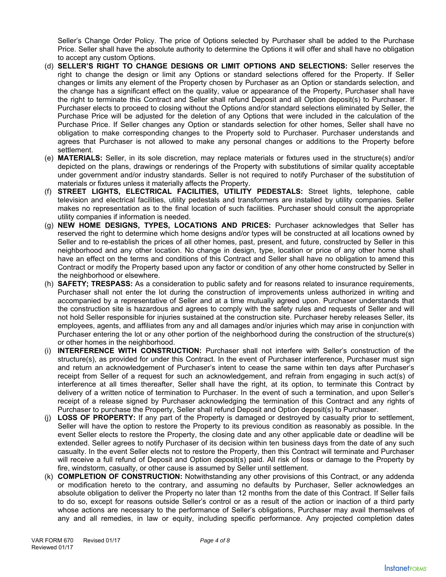Seller's Change Order Policy. The price of Options selected by Purchaser shall be added to the Purchase Price. Seller shall have the absolute authority to determine the Options it will offer and shall have no obligation to accept any custom Options.

- (d) **SELLER'S RIGHT TO CHANGE DESIGNS OR LIMIT OPTIONS AND SELECTIONS:** Seller reserves the right to change the design or limit any Options or standard selections offered for the Property. If Seller changes or limits any element of the Property chosen by Purchaser as an Option or standards selection, and the change has a significant effect on the quality, value or appearance of the Property, Purchaser shall have the right to terminate this Contract and Seller shall refund Deposit and all Option deposit(s) to Purchaser. If Purchaser elects to proceed to closing without the Options and/or standard selections eliminated by Seller, the Purchase Price will be adjusted for the deletion of any Options that were included in the calculation of the Purchase Price. If Seller changes any Option or standards selection for other homes, Seller shall have no obligation to make corresponding changes to the Property sold to Purchaser. Purchaser understands and agrees that Purchaser is not allowed to make any personal changes or additions to the Property before settlement.
- (e) **MATERIALS:** Seller, in its sole discretion, may replace materials or fixtures used in the structure(s) and/or depicted on the plans, drawings or renderings of the Property with substitutions of similar quality acceptable under government and/or industry standards. Seller is not required to notify Purchaser of the substitution of materials or fixtures unless it materially affects the Property.
- (f) **STREET LIGHTS, ELECTRICAL FACILITIES, UTILITY PEDESTALS:** Street lights, telephone, cable television and electrical facilities, utility pedestals and transformers are installed by utility companies. Seller makes no representation as to the final location of such facilities. Purchaser should consult the appropriate utility companies if information is needed.
- (g) **NEW HOME DESIGNS, TYPES, LOCATIONS AND PRICES:** Purchaser acknowledges that Seller has reserved the right to determine which home designs and/or types will be constructed at all locations owned by Seller and to re-establish the prices of all other homes, past, present, and future, constructed by Seller in this neighborhood and any other location. No change in design, type, location or price of any other home shall have an effect on the terms and conditions of this Contract and Seller shall have no obligation to amend this Contract or modify the Property based upon any factor or condition of any other home constructed by Seller in the neighborhood or elsewhere.
- (h) **SAFETY; TRESPASS:** As a consideration to public safety and for reasons related to insurance requirements, Purchaser shall not enter the lot during the construction of improvements unless authorized in writing and accompanied by a representative of Seller and at a time mutually agreed upon. Purchaser understands that the construction site is hazardous and agrees to comply with the safety rules and requests of Seller and will not hold Seller responsible for injuries sustained at the construction site. Purchaser hereby releases Seller, its employees, agents, and affiliates from any and all damages and/or injuries which may arise in conjunction with Purchaser entering the lot or any other portion of the neighborhood during the construction of the structure(s) or other homes in the neighborhood.
- (i) **INTERFERENCE WITH CONSTRUCTION:** Purchaser shall not interfere with Seller's construction of the structure(s), as provided for under this Contract. In the event of Purchaser interference, Purchaser must sign and return an acknowledgement of Purchaser's intent to cease the same within ten days after Purchaser's receipt from Seller of a request for such an acknowledgement, and refrain from engaging in such act(s) of interference at all times thereafter, Seller shall have the right, at its option, to terminate this Contract by delivery of a written notice of termination to Purchaser. In the event of such a termination, and upon Seller's receipt of a release signed by Purchaser acknowledging the termination of this Contract and any rights of Purchaser to purchase the Property, Seller shall refund Deposit and Option deposit(s) to Purchaser.
- (j) **LOSS OF PROPERTY:** If any part of the Property is damaged or destroyed by casualty prior to settlement, Seller will have the option to restore the Property to its previous condition as reasonably as possible. In the event Seller elects to restore the Property, the closing date and any other applicable date or deadline will be extended. Seller agrees to notify Purchaser of its decision within ten business days from the date of any such casualty. In the event Seller elects not to restore the Property, then this Contract will terminate and Purchaser will receive a full refund of Deposit and Option deposit(s) paid. All risk of loss or damage to the Property by fire, windstorm, casualty, or other cause is assumed by Seller until settlement.
- (k) **COMPLETION OF CONSTRUCTION:** Notwithstanding any other provisions of this Contract, or any addenda or modification hereto to the contrary, and assuming no defaults by Purchaser, Seller acknowledges an absolute obligation to deliver the Property no later than 12 months from the date of this Contract. If Seller fails to do so, except for reasons outside Seller's control or as a result of the action or inaction of a third party whose actions are necessary to the performance of Seller's obligations, Purchaser may avail themselves of any and all remedies, in law or equity, including specific performance. Any projected completion dates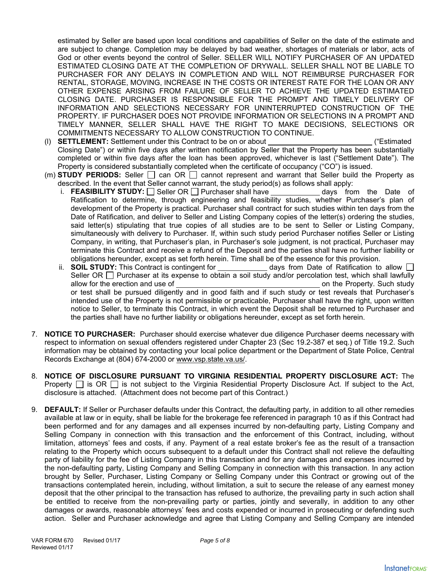estimated by Seller are based upon local conditions and capabilities of Seller on the date of the estimate and are subject to change. Completion may be delayed by bad weather, shortages of materials or labor, acts of God or other events beyond the control of Seller. SELLER WILL NOTIFY PURCHASER OF AN UPDATED ESTIMATED CLOSING DATE AT THE COMPLETION OF DRYWALL. SELLER SHALL NOT BE LIABLE TO PURCHASER FOR ANY DELAYS IN COMPLETION AND WILL NOT REIMBURSE PURCHASER FOR RENTAL, STORAGE, MOVING, INCREASE IN THE COSTS OR INTEREST RATE FOR THE LOAN OR ANY OTHER EXPENSE ARISING FROM FAILURE OF SELLER TO ACHIEVE THE UPDATED ESTIMATED CLOSING DATE. PURCHASER IS RESPONSIBLE FOR THE PROMPT AND TIMELY DELIVERY OF INFORMATION AND SELECTIONS NECESSARY FOR UNINTERRUPTED CONSTRUCTION OF THE PROPERTY. IF PURCHASER DOES NOT PROVIDE INFORMATION OR SELECTIONS IN A PROMPT AND TIMELY MANNER, SELLER SHALL HAVE THE RIGHT TO MAKE DECISIONS, SELECTIONS OR COMMITMENTS NECESSARY TO ALLOW CONSTRUCTION TO CONTINUE.

- (l) **SETTLEMENT:** Settlement under this Contract to be on or about ("Estimated Closing Date") or within five days after written notification by Seller that the Property has been substantially completed or within five days after the loan has been approved, whichever is last ("Settlement Date"). The Property is considered substantially completed when the certificate of occupancy ("CO") is issued.
- (m) **STUDY PERIODS:** Seller  $\Box$  can OR  $\Box$  cannot represent and warrant that Seller build the Property as described. In the event that Seller cannot warrant, the study period(s) as follows shall apply:
	- i. **FEASIBILITY STUDY:** Seller OR Purchaser shall have days from the Date of Ratification to determine, through engineering and feasibility studies, whether Purchaser's plan of development of the Property is practical. Purchaser shall contract for such studies within ten days from the Date of Ratification, and deliver to Seller and Listing Company copies of the letter(s) ordering the studies, said letter(s) stipulating that true copies of all studies are to be sent to Seller or Listing Company, simultaneously with delivery to Purchaser. If, within such study period Purchaser notifies Seller or Listing Company, in writing, that Purchaser's plan, in Purchaser's sole judgment, is not practical, Purchaser may terminate this Contract and receive a refund of the Deposit and the parties shall have no further liability or obligations hereunder, except as set forth herein. Time shall be of the essence for this provision.
	- ii. **SOIL STUDY:** This Contract is contingent for days from Date of Ratification to allow  $\Box$ Seller OR  $\Box$  Purchaser at its expense to obtain a soil study and/or percolation test, which shall lawfully allow for the erection and use of **on the Property.** Such study or test shall be pursued diligently and in good faith and if such study or test reveals that Purchaser's intended use of the Property is not permissible or practicable, Purchaser shall have the right, upon written notice to Seller, to terminate this Contract, in which event the Deposit shall be returned to Purchaser and the parties shall have no further liability or obligations hereunder, except as set forth herein.
- 7. **NOTICE TO PURCHASER:** Purchaser should exercise whatever due diligence Purchaser deems necessary with respect to information on sexual offenders registered under Chapter 23 (Sec 19.2-387 et seq.) of Title 19.2. Such information may be obtained by contacting your local police department or the Department of State Police, Central Records Exchange at (804) 674-2000 or www.vsp.state.va.us/.
- 8. **NOTICE OF DISCLOSURE PURSUANT TO VIRGINIA RESIDENTIAL PROPERTY DISCLOSURE ACT:** The Property  $\Box$  is OR  $\Box$  is not subject to the Virginia Residential Property Disclosure Act. If subject to the Act, disclosure is attached. (Attachment does not become part of this Contract.)
- 9. **DEFAULT:** If Seller or Purchaser defaults under this Contract, the defaulting party, in addition to all other remedies available at law or in equity, shall be liable for the brokerage fee referenced in paragraph 10 as if this Contract had been performed and for any damages and all expenses incurred by non-defaulting party, Listing Company and Selling Company in connection with this transaction and the enforcement of this Contract, including, without limitation, attorneys' fees and costs, if any. Payment of a real estate broker's fee as the result of a transaction relating to the Property which occurs subsequent to a default under this Contract shall not relieve the defaulting party of liability for the fee of Listing Company in this transaction and for any damages and expenses incurred by the non-defaulting party, Listing Company and Selling Company in connection with this transaction. In any action brought by Seller, Purchaser, Listing Company or Selling Company under this Contract or growing out of the transactions contemplated herein, including, without limitation, a suit to secure the release of any earnest money deposit that the other principal to the transaction has refused to authorize, the prevailing party in such action shall be entitled to receive from the non-prevailing party or parties, jointly and severally, in addition to any other damages or awards, reasonable attorneys' fees and costs expended or incurred in prosecuting or defending such action. Seller and Purchaser acknowledge and agree that Listing Company and Selling Company are intended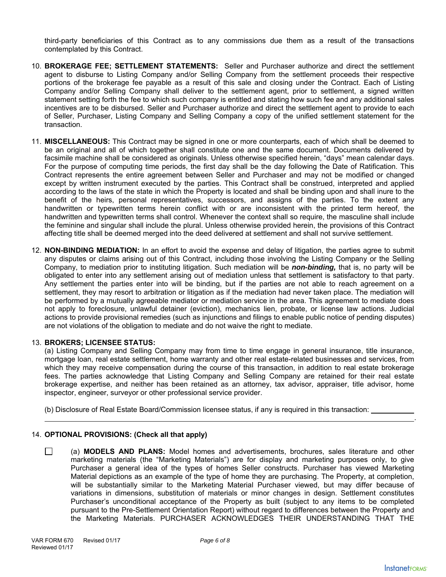third-party beneficiaries of this Contract as to any commissions due them as a result of the transactions contemplated by this Contract.

- 10. **BROKERAGE FEE; SETTLEMENT STATEMENTS:** Seller and Purchaser authorize and direct the settlement agent to disburse to Listing Company and/or Selling Company from the settlement proceeds their respective portions of the brokerage fee payable as a result of this sale and closing under the Contract. Each of Listing Company and/or Selling Company shall deliver to the settlement agent, prior to settlement, a signed written statement setting forth the fee to which such company is entitled and stating how such fee and any additional sales incentives are to be disbursed. Seller and Purchaser authorize and direct the settlement agent to provide to each of Seller, Purchaser, Listing Company and Selling Company a copy of the unified settlement statement for the transaction.
- 11. **MISCELLANEOUS:** This Contract may be signed in one or more counterparts, each of which shall be deemed to be an original and all of which together shall constitute one and the same document. Documents delivered by facsimile machine shall be considered as originals. Unless otherwise specified herein, "days" mean calendar days. For the purpose of computing time periods, the first day shall be the day following the Date of Ratification. This Contract represents the entire agreement between Seller and Purchaser and may not be modified or changed except by written instrument executed by the parties. This Contract shall be construed, interpreted and applied according to the laws of the state in which the Property is located and shall be binding upon and shall inure to the benefit of the heirs, personal representatives, successors, and assigns of the parties. To the extent any handwritten or typewritten terms herein conflict with or are inconsistent with the printed term hereof, the handwritten and typewritten terms shall control. Whenever the context shall so require, the masculine shall include the feminine and singular shall include the plural. Unless otherwise provided herein, the provisions of this Contract affecting title shall be deemed merged into the deed delivered at settlement and shall not survive settlement.
- 12. **NON-BINDING MEDIATION:** In an effort to avoid the expense and delay of litigation, the parties agree to submit any disputes or claims arising out of this Contract, including those involving the Listing Company or the Selling Company, to mediation prior to instituting litigation. Such mediation will be *non-binding,* that is, no party will be obligated to enter into any settlement arising out of mediation unless that settlement is satisfactory to that party. Any settlement the parties enter into will be binding, but if the parties are not able to reach agreement on a settlement, they may resort to arbitration or litigation as if the mediation had never taken place. The mediation will be performed by a mutually agreeable mediator or mediation service in the area. This agreement to mediate does not apply to foreclosure, unlawful detainer (eviction), mechanics lien, probate, or license law actions. Judicial actions to provide provisional remedies (such as injunctions and filings to enable public notice of pending disputes) are not violations of the obligation to mediate and do not waive the right to mediate.

# 13. **BROKERS; LICENSEE STATUS:**

(a) Listing Company and Selling Company may from time to time engage in general insurance, title insurance, mortgage loan, real estate settlement, home warranty and other real estate-related businesses and services, from which they may receive compensation during the course of this transaction, in addition to real estate brokerage fees. The parties acknowledge that Listing Company and Selling Company are retained for their real estate brokerage expertise, and neither has been retained as an attorney, tax advisor, appraiser, title advisor, home inspector, engineer, surveyor or other professional service provider.

(b) Disclosure of Real Estate Board/Commission licensee status, if any is required in this transaction:

# 14. **OPTIONAL PROVISIONS: (Check all that apply)**

 (a) **MODELS AND PLANS:** Model homes and advertisements, brochures, sales literature and other marketing materials (the "Marketing Materials") are for display and marketing purposes only, to give Purchaser a general idea of the types of homes Seller constructs. Purchaser has viewed Marketing Material depictions as an example of the type of home they are purchasing. The Property, at completion, will be substantially similar to the Marketing Material Purchaser viewed, but may differ because of variations in dimensions, substitution of materials or minor changes in design. Settlement constitutes Purchaser's unconditional acceptance of the Property as built (subject to any items to be completed pursuant to the Pre-Settlement Orientation Report) without regard to differences between the Property and the Marketing Materials. PURCHASER ACKNOWLEDGES THEIR UNDERSTANDING THAT THE

.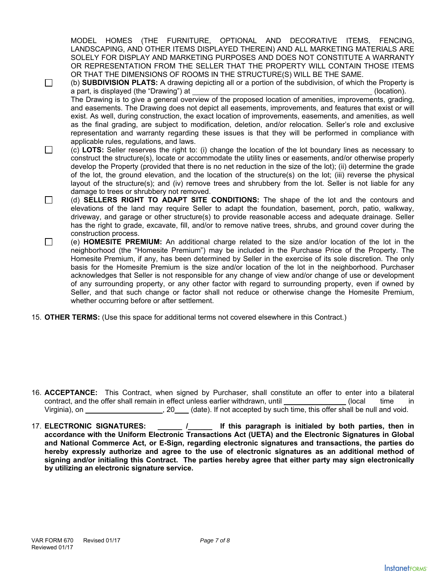MODEL HOMES (THE FURNITURE, OPTIONAL AND DECORATIVE ITEMS, FENCING, LANDSCAPING, AND OTHER ITEMS DISPLAYED THEREIN) AND ALL MARKETING MATERIALS ARE SOLELY FOR DISPLAY AND MARKETING PURPOSES AND DOES NOT CONSTITUTE A WARRANTY OR REPRESENTATION FROM THE SELLER THAT THE PROPERTY WILL CONTAIN THOSE ITEMS OR THAT THE DIMENSIONS OF ROOMS IN THE STRUCTURE(S) WILL BE THE SAME.

 (b) **SUBDIVISION PLATS:** A drawing depicting all or a portion of the subdivision, of which the Property is a part, is displayed (the "Drawing") at (location). The Drawing is to give a general overview of the proposed location of amenities, improvements, grading, and easements. The Drawing does not depict all easements, improvements, and features that exist or will exist. As well, during construction, the exact location of improvements, easements, and amenities, as well as the final grading, are subject to modification, deletion, and/or relocation. Seller's role and exclusive representation and warranty regarding these issues is that they will be performed in compliance with applicable rules, regulations, and laws. (c) **LOTS:** Seller reserves the right to: (i) change the location of the lot boundary lines as necessary to

- construct the structure(s), locate or accommodate the utility lines or easements, and/or otherwise properly develop the Property (provided that there is no net reduction in the size of the lot); (ii) determine the grade of the lot, the ground elevation, and the location of the structure(s) on the lot; (iii) reverse the physical layout of the structure(s); and (iv) remove trees and shrubbery from the lot. Seller is not liable for any damage to trees or shrubbery not removed.
- (d) **SELLERS RIGHT TO ADAPT SITE CONDITIONS:** The shape of the lot and the contours and elevations of the land may require Seller to adapt the foundation, basement, porch, patio, walkway, driveway, and garage or other structure(s) to provide reasonable access and adequate drainage. Seller has the right to grade, excavate, fill, and/or to remove native trees, shrubs, and ground cover during the construction process.
- (e) **HOMESITE PREMIUM:** An additional charge related to the size and/or location of the lot in the neighborhood (the "Homesite Premium") may be included in the Purchase Price of the Property. The Homesite Premium, if any, has been determined by Seller in the exercise of its sole discretion. The only basis for the Homesite Premium is the size and/or location of the lot in the neighborhood. Purchaser acknowledges that Seller is not responsible for any change of view and/or change of use or development of any surrounding property, or any other factor with regard to surrounding property, even if owned by Seller, and that such change or factor shall not reduce or otherwise change the Homesite Premium, whether occurring before or after settlement.
- 15. **OTHER TERMS:** (Use this space for additional terms not covered elsewhere in this Contract.)

- 16. **ACCEPTANCE:** This Contract, when signed by Purchaser, shall constitute an offer to enter into a bilateral contract, and the offer shall remain in effect unless earlier withdrawn, until  $(local$  time in Virginia), on  $\blacksquare$ , 20 (date). If not accepted by such time, this offer shall be null and void.
- 17. **ELECTRONIC SIGNATURES: \_\_\_\_\_\_ /\_\_\_\_\_\_ If this paragraph is initialed by both parties, then in accordance with the Uniform Electronic Transactions Act (UETA) and the Electronic Signatures in Global and National Commerce Act, or E-Sign, regarding electronic signatures and transactions, the parties do hereby expressly authorize and agree to the use of electronic signatures as an additional method of signing and/or initialing this Contract. The parties hereby agree that either party may sign electronically by utilizing an electronic signature service.**